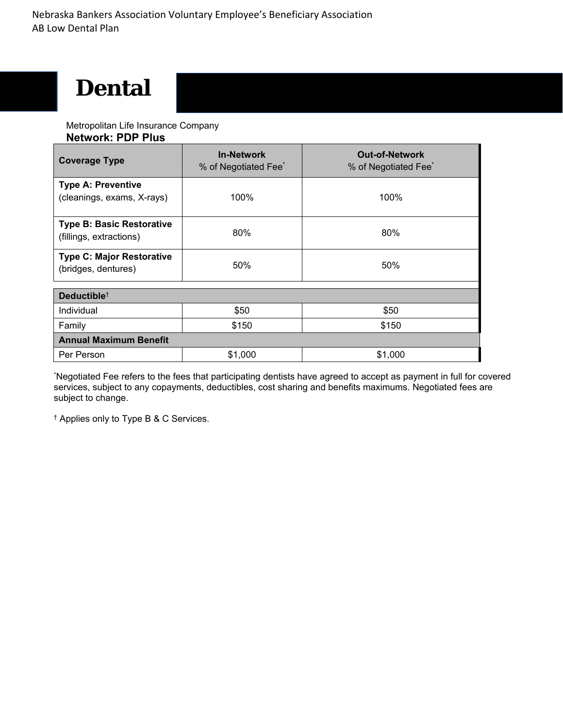# **Dental**

Metropolitan Life Insurance Company

| <b>Network: PDP Plus</b> |  |
|--------------------------|--|
|--------------------------|--|

| <b>Coverage Type</b>                                        | <b>In-Network</b><br>% of Negotiated Fee <sup>*</sup> | <b>Out-of-Network</b><br>% of Negotiated Fee <sup>®</sup> |  |
|-------------------------------------------------------------|-------------------------------------------------------|-----------------------------------------------------------|--|
| <b>Type A: Preventive</b><br>(cleanings, exams, X-rays)     | 100%                                                  | 100%                                                      |  |
| <b>Type B: Basic Restorative</b><br>(fillings, extractions) | 80%                                                   | 80%                                                       |  |
| <b>Type C: Major Restorative</b><br>(bridges, dentures)     | 50%                                                   | 50%                                                       |  |
| Deductible <sup>+</sup>                                     |                                                       |                                                           |  |
| Individual                                                  | \$50                                                  | \$50                                                      |  |
| Family                                                      | \$150                                                 | \$150                                                     |  |
| <b>Annual Maximum Benefit</b>                               |                                                       |                                                           |  |
| Per Person                                                  | \$1,000                                               | \$1,000                                                   |  |

\* Negotiated Fee refers to the fees that participating dentists have agreed to accept as payment in full for covered services, subject to any copayments, deductibles, cost sharing and benefits maximums. Negotiated fees are subject to change.

† Applies only to Type B & C Services.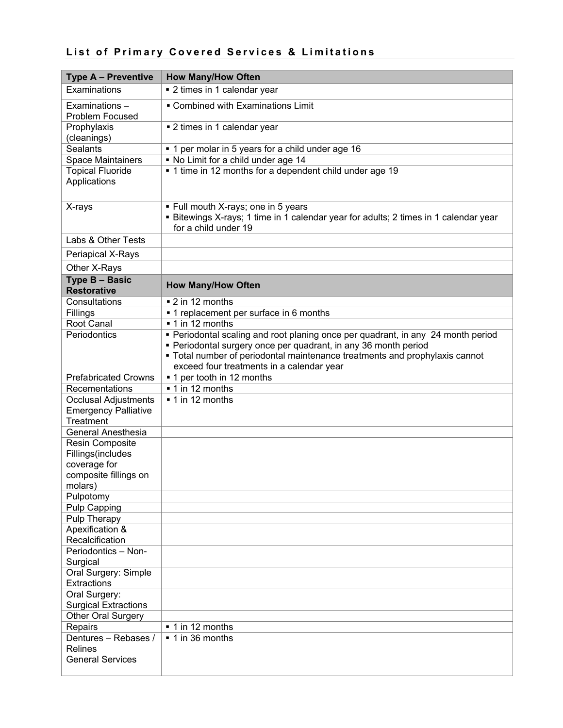## **List of Primary Covered Services & Limitations**

| <b>Type A - Preventive</b>               | <b>How Many/How Often</b>                                                                                                                                                                                                                                                       |
|------------------------------------------|---------------------------------------------------------------------------------------------------------------------------------------------------------------------------------------------------------------------------------------------------------------------------------|
| Examinations                             | • 2 times in 1 calendar year                                                                                                                                                                                                                                                    |
| Examinations-<br>Problem Focused         | • Combined with Examinations Limit                                                                                                                                                                                                                                              |
| Prophylaxis<br>(cleanings)               | ■ 2 times in 1 calendar year                                                                                                                                                                                                                                                    |
| <b>Sealants</b>                          | • 1 per molar in 5 years for a child under age 16                                                                                                                                                                                                                               |
| <b>Space Maintainers</b>                 | • No Limit for a child under age 14                                                                                                                                                                                                                                             |
| <b>Topical Fluoride</b><br>Applications  | • 1 time in 12 months for a dependent child under age 19                                                                                                                                                                                                                        |
| X-rays                                   | . Full mouth X-rays; one in 5 years<br>• Bitewings X-rays; 1 time in 1 calendar year for adults; 2 times in 1 calendar year<br>for a child under 19                                                                                                                             |
| Labs & Other Tests                       |                                                                                                                                                                                                                                                                                 |
| Periapical X-Rays                        |                                                                                                                                                                                                                                                                                 |
| Other X-Rays                             |                                                                                                                                                                                                                                                                                 |
| Type B - Basic<br><b>Restorative</b>     | <b>How Many/How Often</b>                                                                                                                                                                                                                                                       |
| Consultations                            | ■ 2 in 12 months                                                                                                                                                                                                                                                                |
| Fillings                                 | • 1 replacement per surface in 6 months                                                                                                                                                                                                                                         |
| Root Canal                               | $\overline{\phantom{1}}$ 1 in 12 months                                                                                                                                                                                                                                         |
| Periodontics                             | • Periodontal scaling and root planing once per quadrant, in any 24 month period<br>• Periodontal surgery once per quadrant, in any 36 month period<br>• Total number of periodontal maintenance treatments and prophylaxis cannot<br>exceed four treatments in a calendar year |
| <b>Prefabricated Crowns</b>              | ■ 1 per tooth in 12 months                                                                                                                                                                                                                                                      |
| Recementations                           | ■ 1 in 12 months                                                                                                                                                                                                                                                                |
| <b>Occlusal Adjustments</b>              | ■ 1 in 12 months                                                                                                                                                                                                                                                                |
| <b>Emergency Palliative</b><br>Treatment |                                                                                                                                                                                                                                                                                 |
| <b>General Anesthesia</b>                |                                                                                                                                                                                                                                                                                 |
| Resin Composite                          |                                                                                                                                                                                                                                                                                 |
| Fillings(includes                        |                                                                                                                                                                                                                                                                                 |
| coverage for<br>composite fillings on    |                                                                                                                                                                                                                                                                                 |
| molars)                                  |                                                                                                                                                                                                                                                                                 |
| Pulpotomy                                |                                                                                                                                                                                                                                                                                 |
| Pulp Capping                             |                                                                                                                                                                                                                                                                                 |
| Pulp Therapy                             |                                                                                                                                                                                                                                                                                 |
| Apexification &<br>Recalcification       |                                                                                                                                                                                                                                                                                 |
| Periodontics - Non-<br>Surgical          |                                                                                                                                                                                                                                                                                 |
| Oral Surgery: Simple                     |                                                                                                                                                                                                                                                                                 |
| Extractions                              |                                                                                                                                                                                                                                                                                 |
| Oral Surgery:                            |                                                                                                                                                                                                                                                                                 |
| <b>Surgical Extractions</b>              |                                                                                                                                                                                                                                                                                 |
| Other Oral Surgery                       | ■ 1 in 12 months                                                                                                                                                                                                                                                                |
| Repairs<br>Dentures - Rebases /          | ■ 1 in 36 months                                                                                                                                                                                                                                                                |
| <b>Relines</b>                           |                                                                                                                                                                                                                                                                                 |
| <b>General Services</b>                  |                                                                                                                                                                                                                                                                                 |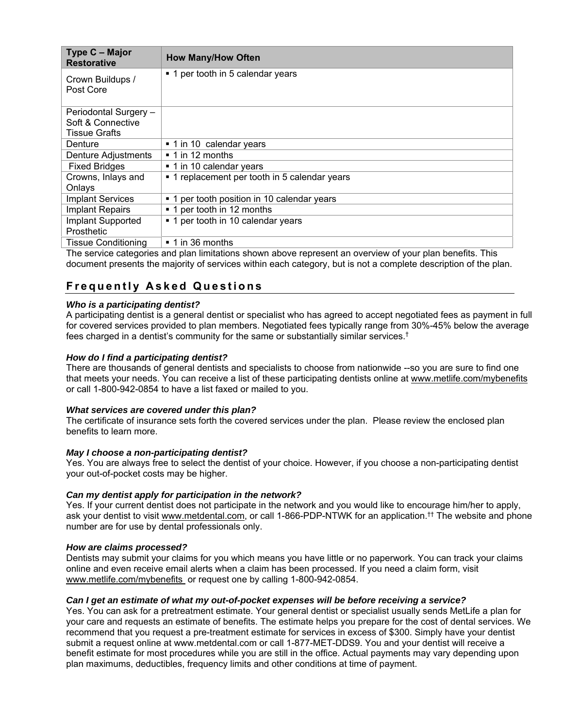| Type C - Major<br><b>Restorative</b> | <b>How Many/How Often</b>                       |
|--------------------------------------|-------------------------------------------------|
| Crown Buildups /<br>Post Core        | ■ 1 per tooth in 5 calendar years               |
| Periodontal Surgery -                |                                                 |
| Soft & Connective                    |                                                 |
| Tissue Grafts                        |                                                 |
| Denture                              | ■ 1 in 10 calendar years                        |
| Denture Adjustments                  | $\blacksquare$ 1 in 12 months                   |
| <b>Fixed Bridges</b>                 | ■ 1 in 10 calendar years                        |
| Crowns, Inlays and                   | • 1 replacement per tooth in 5 calendar years   |
| Onlays                               |                                                 |
| <b>Implant Services</b>              | per tooth position in 10 calendar years<br>$-1$ |
| <b>Implant Repairs</b>               | ■ 1 per tooth in 12 months                      |
| Implant Supported                    | ■ 1 per tooth in 10 calendar years              |
| Prosthetic                           |                                                 |
| <b>Tissue Conditioning</b>           | $\blacksquare$ 1 in 36 months                   |

The service categories and plan limitations shown above represent an overview of your plan benefits. This document presents the majority of services within each category, but is not a complete description of the plan.

## **Frequently Asked Questions**

#### *Who is a participating dentist?*

A participating dentist is a general dentist or specialist who has agreed to accept negotiated fees as payment in full for covered services provided to plan members. Negotiated fees typically range from 30%-45% below the average fees charged in a dentist's community for the same or substantially similar services.†

#### *How do I find a participating dentist?*

There are thousands of general dentists and specialists to choose from nationwide --so you are sure to find one that meets your needs. You can receive a list of these participating dentists online at www.metlife.com/mybenefits or call 1-800-942-0854 to have a list faxed or mailed to you.

#### *What services are covered under this plan?*

The certificate of insurance sets forth the covered services under the plan. Please review the enclosed plan benefits to learn more.

#### *May I choose a non-participating dentist?*

Yes. You are always free to select the dentist of your choice. However, if you choose a non-participating dentist your out-of-pocket costs may be higher.

#### *Can my dentist apply for participation in the network?*

Yes. If your current dentist does not participate in the network and you would like to encourage him/her to apply, ask your dentist to visit www.metdental.com, or call 1-866-PDP-NTWK for an application.<sup>††</sup> The website and phone number are for use by dental professionals only.

#### *How are claims processed?*

Dentists may submit your claims for you which means you have little or no paperwork. You can track your claims online and even receive email alerts when a claim has been processed. If you need a claim form, visit www.metlife.com/mybenefits or request one by calling 1-800-942-0854.

#### *Can I get an estimate of what my out-of-pocket expenses will be before receiving a service?*

Yes. You can ask for a pretreatment estimate. Your general dentist or specialist usually sends MetLife a plan for your care and requests an estimate of benefits. The estimate helps you prepare for the cost of dental services. We recommend that you request a pre-treatment estimate for services in excess of \$300. Simply have your dentist submit a request online at www.metdental.com or call 1-877-MET-DDS9. You and your dentist will receive a benefit estimate for most procedures while you are still in the office. Actual payments may vary depending upon plan maximums, deductibles, frequency limits and other conditions at time of payment.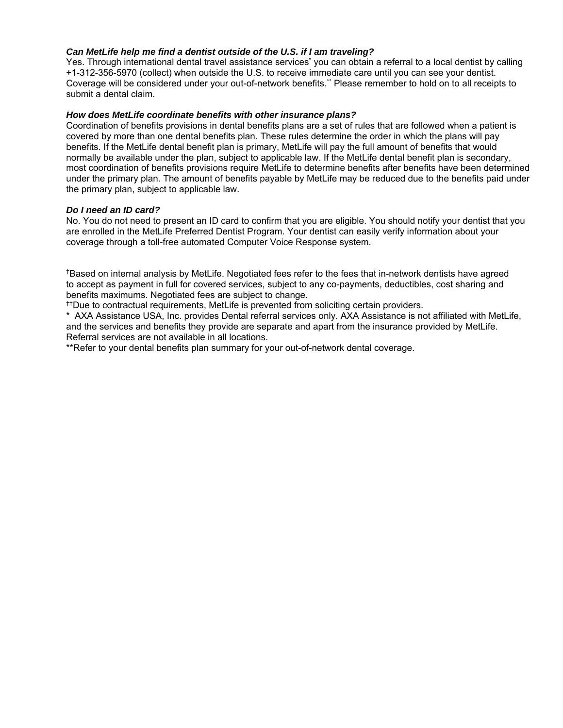#### *Can MetLife help me find a dentist outside of the U.S. if I am traveling?*

Yes. Through international dental travel assistance services<sup>\*</sup> you can obtain a referral to a local dentist by calling +1-312-356-5970 (collect) when outside the U.S. to receive immediate care until you can see your dentist. Coverage will be considered under your out-of-network benefits.\*\* Please remember to hold on to all receipts to submit a dental claim.

#### *How does MetLife coordinate benefits with other insurance plans?*

Coordination of benefits provisions in dental benefits plans are a set of rules that are followed when a patient is covered by more than one dental benefits plan. These rules determine the order in which the plans will pay benefits. If the MetLife dental benefit plan is primary, MetLife will pay the full amount of benefits that would normally be available under the plan, subject to applicable law. If the MetLife dental benefit plan is secondary, most coordination of benefits provisions require MetLife to determine benefits after benefits have been determined under the primary plan. The amount of benefits payable by MetLife may be reduced due to the benefits paid under the primary plan, subject to applicable law.

#### *Do I need an ID card?*

No. You do not need to present an ID card to confirm that you are eligible. You should notify your dentist that you are enrolled in the MetLife Preferred Dentist Program. Your dentist can easily verify information about your coverage through a toll-free automated Computer Voice Response system.

†Based on internal analysis by MetLife. Negotiated fees refer to the fees that in-network dentists have agreed to accept as payment in full for covered services, subject to any co-payments, deductibles, cost sharing and benefits maximums. Negotiated fees are subject to change.

††Due to contractual requirements, MetLife is prevented from soliciting certain providers.

\* AXA Assistance USA, Inc. provides Dental referral services only. AXA Assistance is not affiliated with MetLife, and the services and benefits they provide are separate and apart from the insurance provided by MetLife. Referral services are not available in all locations.

\*\*Refer to your dental benefits plan summary for your out-of-network dental coverage.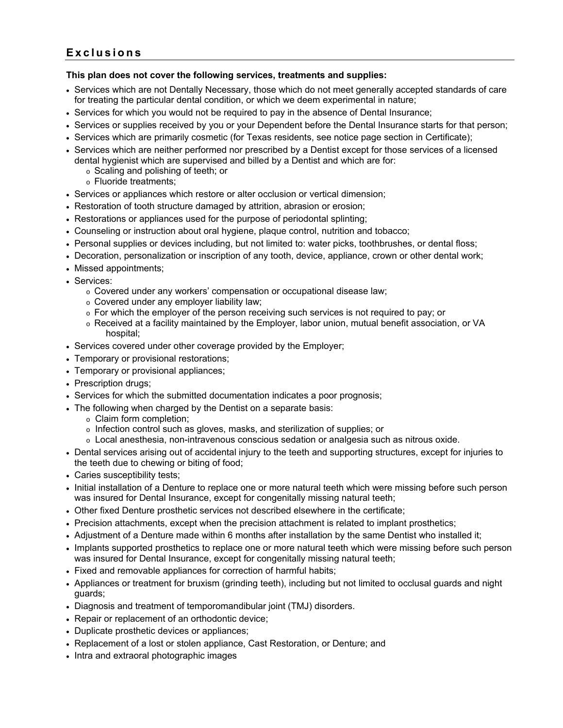## **Exclusions**

#### **This plan does not cover the following services, treatments and supplies:**

- Services which are not Dentally Necessary, those which do not meet generally accepted standards of care for treating the particular dental condition, or which we deem experimental in nature;
- Services for which you would not be required to pay in the absence of Dental Insurance;
- Services or supplies received by you or your Dependent before the Dental Insurance starts for that person;
- Services which are primarily cosmetic (for Texas residents, see notice page section in Certificate);
- Services which are neither performed nor prescribed by a Dentist except for those services of a licensed dental hygienist which are supervised and billed by a Dentist and which are for:
	- o Scaling and polishing of teeth; or
	- o Fluoride treatments;
- Services or appliances which restore or alter occlusion or vertical dimension;
- Restoration of tooth structure damaged by attrition, abrasion or erosion;
- Restorations or appliances used for the purpose of periodontal splinting;
- Counseling or instruction about oral hygiene, plaque control, nutrition and tobacco;
- Personal supplies or devices including, but not limited to: water picks, toothbrushes, or dental floss;
- Decoration, personalization or inscription of any tooth, device, appliance, crown or other dental work;
- Missed appointments;
- Services:
	- o Covered under any workers' compensation or occupational disease law;
	- o Covered under any employer liability law;
	- $\circ$  For which the employer of the person receiving such services is not required to pay; or
	- o Received at a facility maintained by the Employer, labor union, mutual benefit association, or VA hospital;
- Services covered under other coverage provided by the Employer;
- Temporary or provisional restorations;
- Temporary or provisional appliances;
- Prescription drugs;
- Services for which the submitted documentation indicates a poor prognosis;
- The following when charged by the Dentist on a separate basis:
	- o Claim form completion;
		- o Infection control such as gloves, masks, and sterilization of supplies; or
		- o Local anesthesia, non-intravenous conscious sedation or analgesia such as nitrous oxide.
- Dental services arising out of accidental injury to the teeth and supporting structures, except for injuries to the teeth due to chewing or biting of food;
- Caries susceptibility tests;
- Initial installation of a Denture to replace one or more natural teeth which were missing before such person was insured for Dental Insurance, except for congenitally missing natural teeth;
- Other fixed Denture prosthetic services not described elsewhere in the certificate;
- Precision attachments, except when the precision attachment is related to implant prosthetics;
- Adjustment of a Denture made within 6 months after installation by the same Dentist who installed it;
- Implants supported prosthetics to replace one or more natural teeth which were missing before such person was insured for Dental Insurance, except for congenitally missing natural teeth;
- Fixed and removable appliances for correction of harmful habits;
- Appliances or treatment for bruxism (grinding teeth), including but not limited to occlusal guards and night guards;
- Diagnosis and treatment of temporomandibular joint (TMJ) disorders.
- Repair or replacement of an orthodontic device;
- Duplicate prosthetic devices or appliances;
- Replacement of a lost or stolen appliance, Cast Restoration, or Denture; and
- Intra and extraoral photographic images